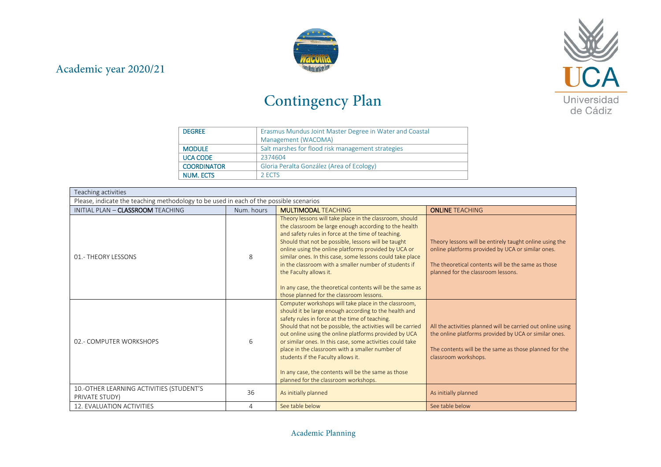



## Contingency Plan

| <b>DEGREE</b>      | Erasmus Mundus Joint Master Degree in Water and Coastal |  |
|--------------------|---------------------------------------------------------|--|
|                    | Management (WACOMA)                                     |  |
| <b>MODULE</b>      | Salt marshes for flood risk management strategies       |  |
| <b>UCA CODE</b>    | 2374604                                                 |  |
| <b>COORDINATOR</b> | Gloria Peralta González (Area of Ecology)               |  |
| NUM. ECTS          | 2 ECTS                                                  |  |

| Teaching activities                                                                    |            |                                                                                                                                                                                                                                                                                                                                                                                                                                                                                                                                                |                                                                                                                                                                                                          |  |  |
|----------------------------------------------------------------------------------------|------------|------------------------------------------------------------------------------------------------------------------------------------------------------------------------------------------------------------------------------------------------------------------------------------------------------------------------------------------------------------------------------------------------------------------------------------------------------------------------------------------------------------------------------------------------|----------------------------------------------------------------------------------------------------------------------------------------------------------------------------------------------------------|--|--|
| Please, indicate the teaching methodology to be used in each of the possible scenarios |            |                                                                                                                                                                                                                                                                                                                                                                                                                                                                                                                                                |                                                                                                                                                                                                          |  |  |
| INITIAL PLAN - CLASSROOM TEACHING                                                      | Num, hours | <b>MULTIMODAL TEACHING</b>                                                                                                                                                                                                                                                                                                                                                                                                                                                                                                                     | <b>ONLINE TEACHING</b>                                                                                                                                                                                   |  |  |
| 01.- THEORY LESSONS                                                                    | 8          | Theory lessons will take place in the classroom, should<br>the classroom be large enough according to the health<br>and safety rules in force at the time of teaching.<br>Should that not be possible, lessons will be taught<br>online using the online platforms provided by UCA or<br>similar ones. In this case, some lessons could take place<br>in the classroom with a smaller number of students if<br>the Faculty allows it.<br>In any case, the theoretical contents will be the same as<br>those planned for the classroom lessons. | Theory lessons will be entirely taught online using the<br>online platforms provided by UCA or similar ones.<br>The theoretical contents will be the same as those<br>planned for the classroom lessons. |  |  |
| 02.- COMPUTER WORKSHOPS                                                                | 6          | Computer workshops will take place in the classroom,<br>should it be large enough according to the health and<br>safety rules in force at the time of teaching.<br>Should that not be possible, the activities will be carried<br>out online using the online platforms provided by UCA<br>or similar ones. In this case, some activities could take<br>place in the classroom with a smaller number of<br>students if the Faculty allows it.<br>In any case, the contents will be the same as those<br>planned for the classroom workshops.   | All the activities planned will be carried out online using<br>the online platforms provided by UCA or similar ones.<br>The contents will be the same as those planned for the<br>classroom workshops.   |  |  |
| 10.-OTHER LEARNING ACTIVITIES (STUDENT'S<br>PRIVATE STUDY)                             | 36         | As initially planned                                                                                                                                                                                                                                                                                                                                                                                                                                                                                                                           | As initially planned                                                                                                                                                                                     |  |  |
| 12. EVALUATION ACTIVITIES                                                              | 4          | See table below                                                                                                                                                                                                                                                                                                                                                                                                                                                                                                                                | See table below                                                                                                                                                                                          |  |  |

## Academic Planning